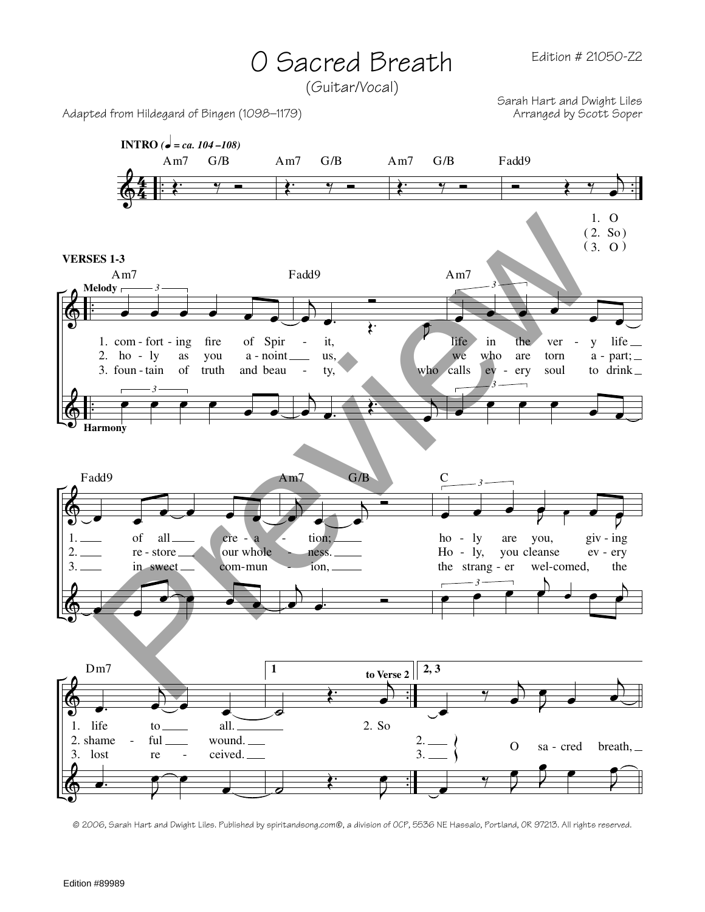## O Sacred Breath

(Guitar/Vocal)

Adapted from Hildegard of Bingen (1098–1179)

Sarah Hart and Dwight Liles



© 2006, Sarah Hart and Dwight Liles. Published by spiritandsong.com®, a division of OCP, 5536 NE Hassalo, Portland, OR 97213. All rights reserved.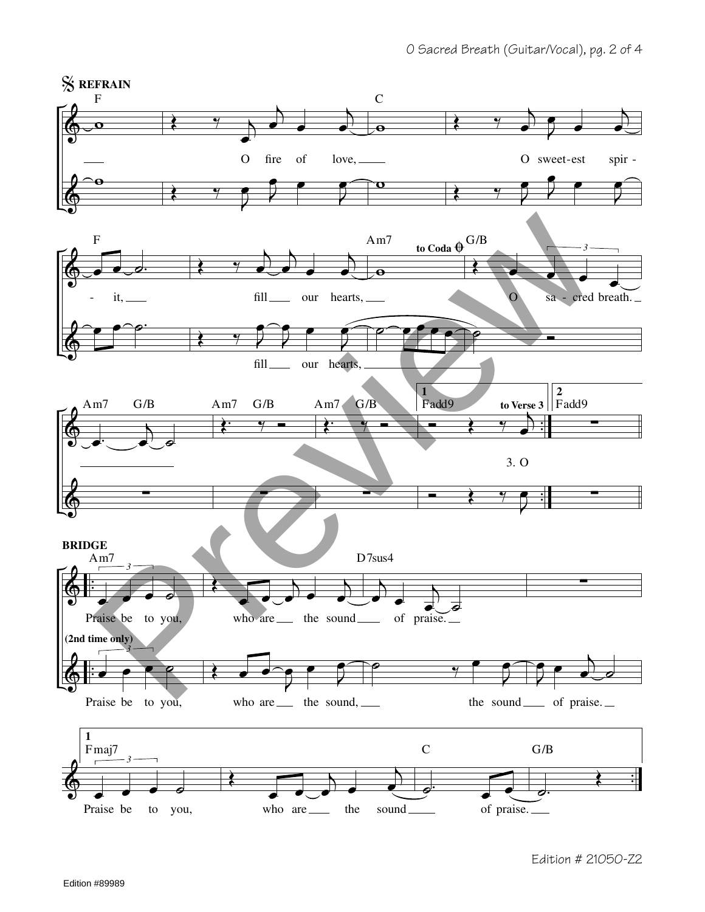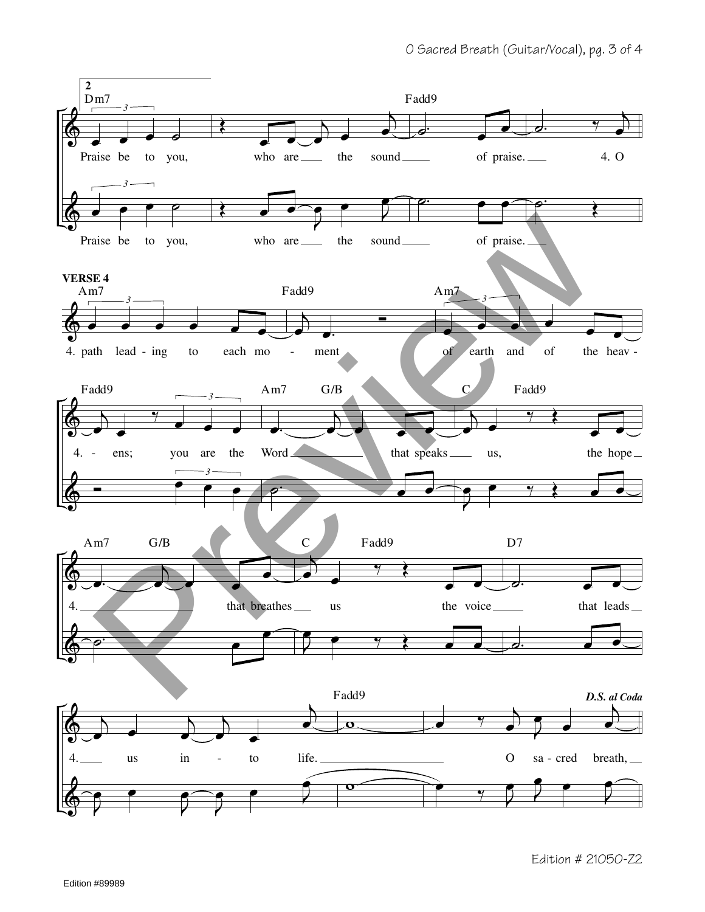